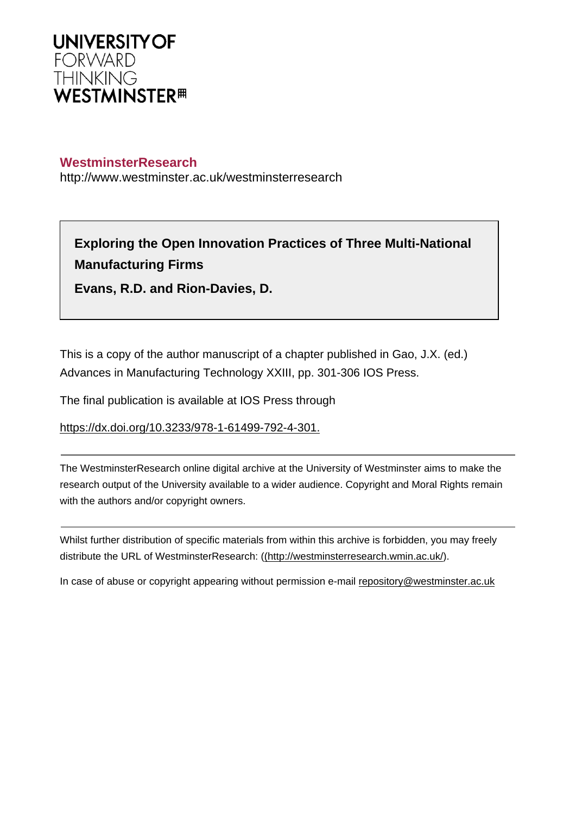

# **WestminsterResearch**

http://www.westminster.ac.uk/westminsterresearch

**Exploring the Open Innovation Practices of Three Multi-National Manufacturing Firms**

**Evans, R.D. and Rion-Davies, D.**

This is a copy of the author manuscript of a chapter published in Gao, J.X. (ed.) Advances in Manufacturing Technology XXIII, pp. 301-306 IOS Press.

The final publication is available at IOS Press through

<https://dx.doi.org/10.3233/978-1-61499-792-4-301.>

The WestminsterResearch online digital archive at the University of Westminster aims to make the research output of the University available to a wider audience. Copyright and Moral Rights remain with the authors and/or copyright owners.

Whilst further distribution of specific materials from within this archive is forbidden, you may freely distribute the URL of WestminsterResearch: [\(\(http://westminsterresearch.wmin.ac.uk/](http://westminsterresearch.wmin.ac.uk/)).

In case of abuse or copyright appearing without permission e-mail <repository@westminster.ac.uk>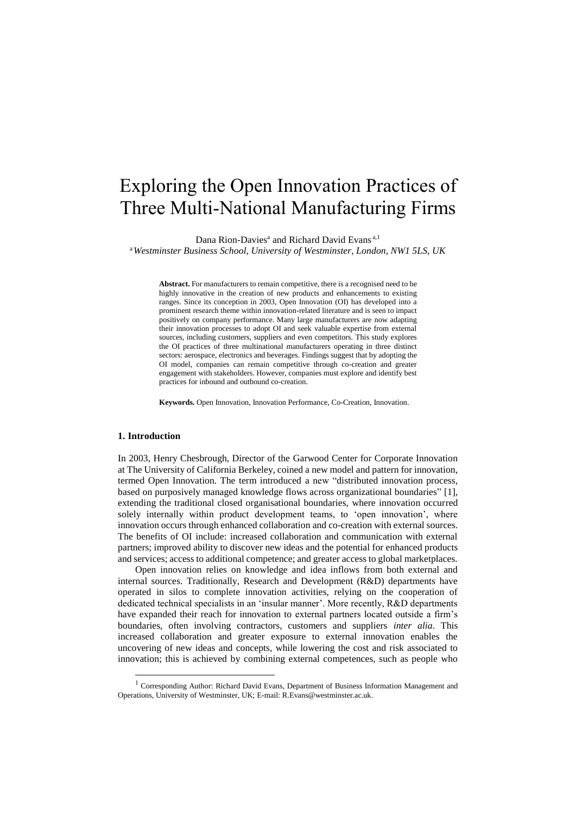# Exploring the Open Innovation Practices of Three Multi-National Manufacturing Firms

Dana Rion-Davies<sup>a</sup> and Richard David Evans<sup>a,1</sup>

<sup>a</sup>*Westminster Business School, University of Westminster, London, NW1 5LS, UK*

**Abstract.** For manufacturers to remain competitive, there is a recognised need to be highly innovative in the creation of new products and enhancements to existing ranges. Since its conception in 2003, Open Innovation (OI) has developed into a prominent research theme within innovation-related literature and is seen to impact positively on company performance. Many large manufacturers are now adapting their innovation processes to adopt OI and seek valuable expertise from external sources, including customers, suppliers and even competitors. This study explores the OI practices of three multinational manufacturers operating in three distinct sectors: aerospace, electronics and beverages. Findings suggest that by adopting the OI model, companies can remain competitive through co-creation and greater engagement with stakeholders. However, companies must explore and identify best practices for inbound and outbound co-creation.

**Keywords.** Open Innovation, Innovation Performance, Co-Creation, Innovation.

# **1. Introduction**

-

In 2003, Henry Chesbrough, Director of the Garwood Center for Corporate Innovation at The University of California Berkeley, coined a new model and pattern for innovation, termed Open Innovation. The term introduced a new "distributed innovation process, based on purposively managed knowledge flows across organizational boundaries" [1], extending the traditional closed organisational boundaries, where innovation occurred solely internally within product development teams, to 'open innovation', where innovation occurs through enhanced collaboration and co-creation with external sources. The benefits of OI include: increased collaboration and communication with external partners; improved ability to discover new ideas and the potential for enhanced products and services; access to additional competence; and greater access to global marketplaces.

Open innovation relies on knowledge and idea inflows from both external and internal sources. Traditionally, Research and Development (R&D) departments have operated in silos to complete innovation activities, relying on the cooperation of dedicated technical specialists in an 'insular manner'. More recently, R&D departments have expanded their reach for innovation to external partners located outside a firm's boundaries, often involving contractors, customers and suppliers *inter alia*. This increased collaboration and greater exposure to external innovation enables the uncovering of new ideas and concepts, while lowering the cost and risk associated to innovation; this is achieved by combining external competences, such as people who

<sup>&</sup>lt;sup>1</sup> Corresponding Author: Richard David Evans, Department of Business Information Management and Operations, University of Westminster, UK; E-mail: R.Evans@westminster.ac.uk.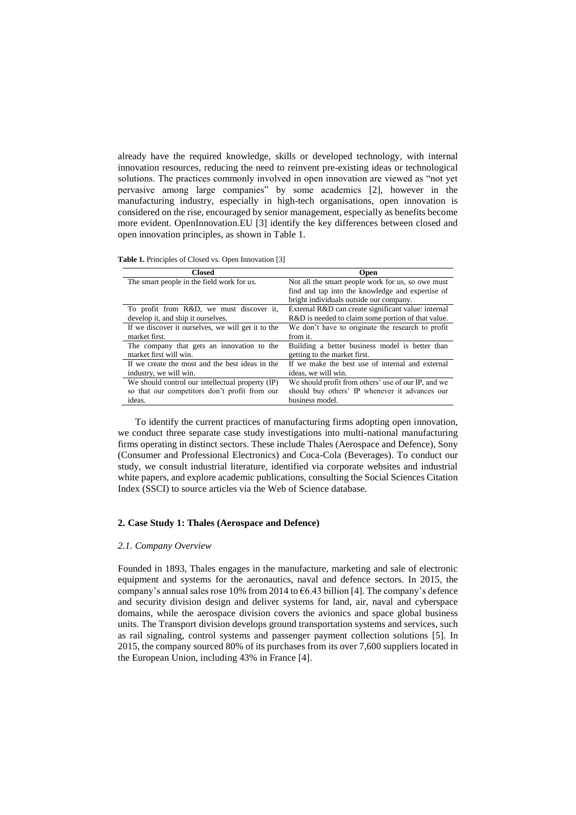already have the required knowledge, skills or developed technology, with internal innovation resources, reducing the need to reinvent pre-existing ideas or technological solutions. The practices commonly involved in open innovation are viewed as "not yet pervasive among large companies" by some academics [2], however in the manufacturing industry, especially in high-tech organisations, open innovation is considered on the rise, encouraged by senior management, especially as benefits become more evident. OpenInnovation.EU [3] identify the key differences between closed and open innovation principles, as shown in Table 1.

| <b>Table 1.</b> Principles of Closed vs. Open Innovation [3] |  |
|--------------------------------------------------------------|--|
|--------------------------------------------------------------|--|

| <b>Closed</b>                                      | <b>Open</b>                                         |
|----------------------------------------------------|-----------------------------------------------------|
| The smart people in the field work for us.         | Not all the smart people work for us, so owe must   |
|                                                    | find and tap into the knowledge and expertise of    |
|                                                    | bright individuals outside our company.             |
| To profit from R&D, we must discover it,           | External R&D can create significant value: internal |
| develop it, and ship it ourselves.                 | R&D is needed to claim some portion of that value.  |
| If we discover it ourselves, we will get it to the | We don't have to originate the research to profit   |
| market first.                                      | from it.                                            |
| The company that gets an innovation to the         | Building a better business model is better than     |
| market first will win.                             | getting to the market first.                        |
| If we create the most and the best ideas in the    | If we make the best use of internal and external    |
| industry, we will win.                             | ideas, we will win.                                 |
| We should control our intellectual property (IP)   | We should profit from others' use of our IP, and we |
| so that our competitors don't profit from our      | should buy others' IP whenever it advances our      |
| ideas.                                             | business model.                                     |

To identify the current practices of manufacturing firms adopting open innovation, we conduct three separate case study investigations into multi-national manufacturing firms operating in distinct sectors. These include Thales (Aerospace and Defence), Sony (Consumer and Professional Electronics) and Coca-Cola (Beverages). To conduct our study, we consult industrial literature, identified via corporate websites and industrial white papers, and explore academic publications, consulting the Social Sciences Citation Index (SSCI) to source articles via the Web of Science database.

# **2. Case Study 1: Thales (Aerospace and Defence)**

# *2.1. Company Overview*

Founded in 1893, Thales engages in the manufacture, marketing and sale of electronic equipment and systems for the aeronautics, naval and defence sectors. In 2015, the company's annual sales rose 10% from 2014 to  $66.43$  billion [4]. The company's defence and security division design and deliver systems for land, air, naval and cyberspace domains, while the aerospace division covers the avionics and space global business units. The Transport division develops ground transportation systems and services, such as rail signaling, control systems and passenger payment collection solutions [5]. In 2015, the company sourced 80% of its purchases from its over 7,600 suppliers located in the European Union, including 43% in France [4].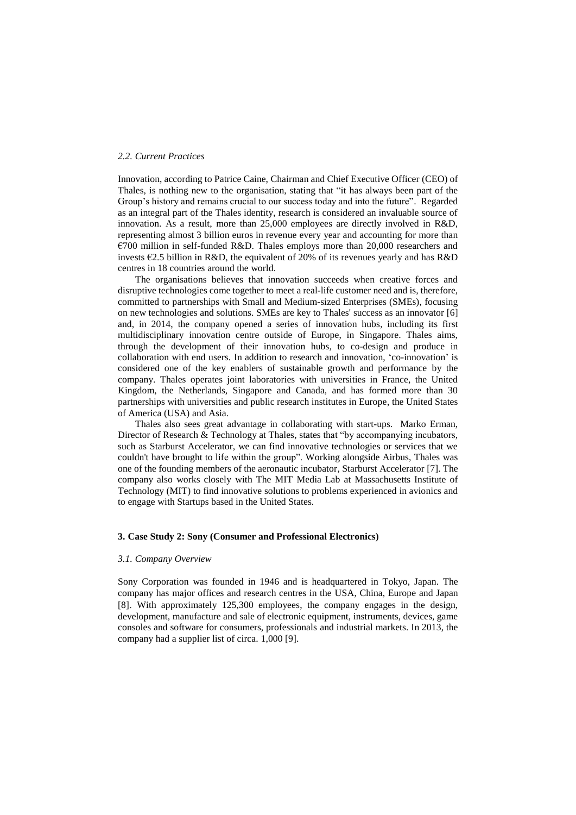# *2.2. Current Practices*

Innovation, according to Patrice Caine, Chairman and Chief Executive Officer (CEO) of Thales, is nothing new to the organisation, stating that "it has always been part of the Group's history and remains crucial to our success today and into the future". Regarded as an integral part of the Thales identity, research is considered an invaluable source of innovation. As a result, more than 25,000 employees are directly involved in R&D, representing almost 3 billion euros in revenue every year and accounting for more than  $\epsilon$ 700 million in self-funded R&D. Thales employs more than 20,000 researchers and invests  $\epsilon$ 2.5 billion in R&D, the equivalent of 20% of its revenues yearly and has R&D centres in 18 countries around the world.

The organisations believes that innovation succeeds when creative forces and disruptive technologies come together to meet a real-life customer need and is, therefore, committed to partnerships with Small and Medium-sized Enterprises (SMEs), focusing on new technologies and solutions. SMEs are key to Thales' success as an innovator [6] and, in 2014, the company opened a series of innovation hubs, including its first multidisciplinary innovation centre outside of Europe, in Singapore. Thales aims, through the development of their innovation hubs, to co-design and produce in collaboration with end users. In addition to research and innovation, 'co-innovation' is considered one of the key enablers of sustainable growth and performance by the company. Thales operates joint laboratories with universities in France, the United Kingdom, the Netherlands, Singapore and Canada, and has formed more than 30 partnerships with universities and public research institutes in Europe, the United States of America (USA) and Asia.

Thales also sees great advantage in collaborating with start-ups. Marko Erman, Director of Research & Technology at Thales, states that "by accompanying incubators, such as Starburst Accelerator, we can find innovative technologies or services that we couldn't have brought to life within the group". Working alongside Airbus, Thales was one of the founding members of the aeronautic incubator, Starburst Accelerator [7]. The company also works closely with The MIT Media Lab at Massachusetts Institute of Technology (MIT) to find innovative solutions to problems experienced in avionics and to engage with Startups based in the United States.

# **3. Case Study 2: Sony (Consumer and Professional Electronics)**

#### *3.1. Company Overview*

Sony Corporation was founded in 1946 and is headquartered in Tokyo, Japan. The company has major offices and research centres in the USA, China, Europe and Japan [8]. With approximately 125,300 employees, the company engages in the design, development, manufacture and sale of electronic equipment, instruments, devices, game consoles and software for consumers, professionals and industrial markets. In 2013, the company had a supplier list of circa. 1,000 [9].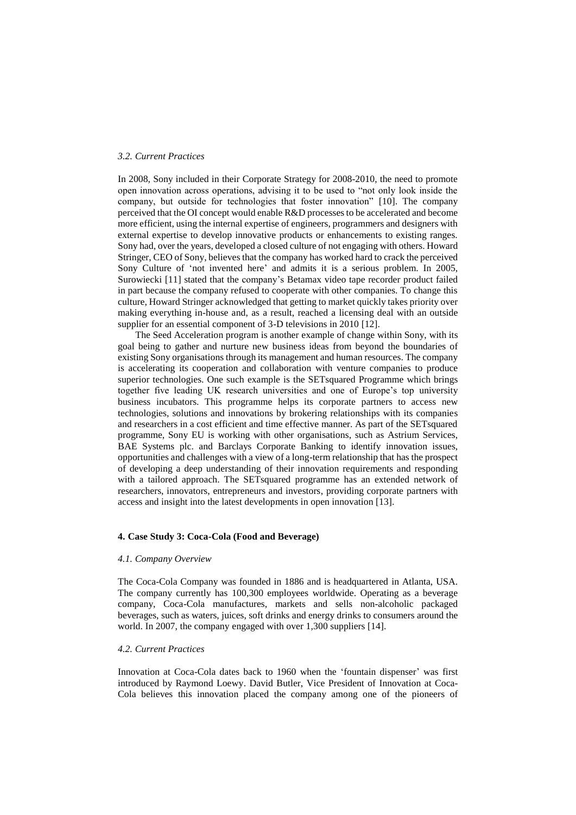# *3.2. Current Practices*

In 2008, Sony included in their Corporate Strategy for 2008-2010, the need to promote open innovation across operations, advising it to be used to "not only look inside the company, but outside for technologies that foster innovation" [10]. The company perceived that the OI concept would enable R&D processes to be accelerated and become more efficient, using the internal expertise of engineers, programmers and designers with external expertise to develop innovative products or enhancements to existing ranges. Sony had, over the years, developed a closed culture of not engaging with others. Howard Stringer, CEO of Sony, believes that the company has worked hard to crack the perceived Sony Culture of 'not invented here' and admits it is a serious problem. In 2005, Surowiecki [11] stated that the company's Betamax video tape recorder product failed in part because the company refused to cooperate with other companies. To change this culture, Howard Stringer acknowledged that getting to market quickly takes priority over making everything in-house and, as a result, reached a licensing deal with an outside supplier for an essential component of 3-D televisions in 2010 [12].

The Seed Acceleration program is another example of change within Sony, with its goal being to gather and nurture new business ideas from beyond the boundaries of existing Sony organisations through its management and human resources. The company is accelerating its cooperation and collaboration with venture companies to produce superior technologies. One such example is the SETsquared Programme which brings together five leading UK research universities and one of Europe's top university business incubators. This programme helps its corporate partners to access new technologies, solutions and innovations by brokering relationships with its companies and researchers in a cost efficient and time effective manner. As part of the SETsquared programme, Sony EU is working with other organisations, such as Astrium Services, BAE Systems plc. and Barclays Corporate Banking to identify innovation issues, opportunities and challenges with a view of a long-term relationship that has the prospect of developing a deep understanding of their innovation requirements and responding with a tailored approach. The SETsquared programme has an extended network of researchers, innovators, entrepreneurs and investors, providing corporate partners with access and insight into the latest developments in open innovation [13].

# **4. Case Study 3: Coca-Cola (Food and Beverage)**

#### *4.1. Company Overview*

The Coca-Cola Company was founded in 1886 and is headquartered in Atlanta, USA. The company currently has 100,300 employees worldwide. Operating as a beverage company, Coca-Cola manufactures, markets and sells non-alcoholic packaged beverages, such as waters, juices, soft drinks and energy drinks to consumers around the world. In 2007, the company engaged with over 1,300 suppliers [14].

# *4.2. Current Practices*

Innovation at Coca-Cola dates back to 1960 when the 'fountain dispenser' was first introduced by Raymond Loewy. David Butler, Vice President of Innovation at Coca-Cola believes this innovation placed the company among one of the pioneers of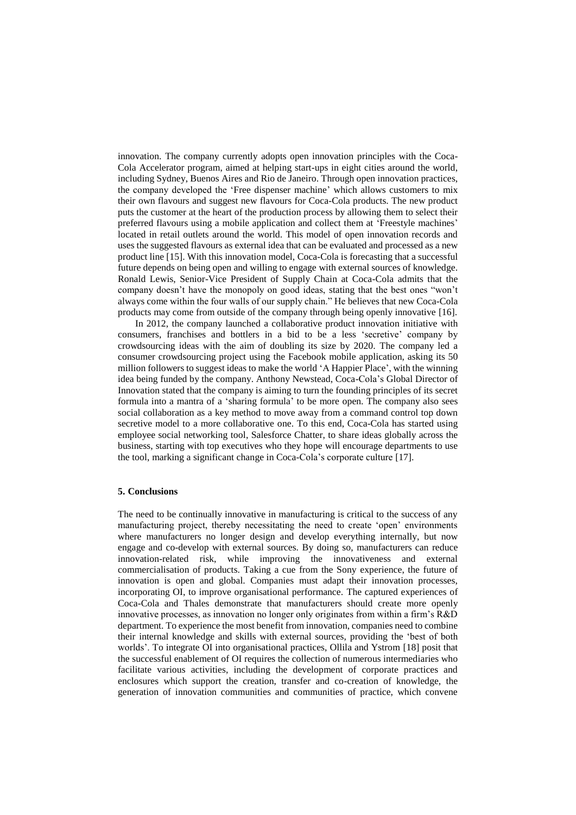innovation. The company currently adopts open innovation principles with the Coca-Cola Accelerator program, aimed at helping start-ups in eight cities around the world, including Sydney, Buenos Aires and Rio de Janeiro. Through open innovation practices, the company developed the 'Free dispenser machine' which allows customers to mix their own flavours and suggest new flavours for Coca-Cola products. The new product puts the customer at the heart of the production process by allowing them to select their preferred flavours using a mobile application and collect them at 'Freestyle machines' located in retail outlets around the world. This model of open innovation records and uses the suggested flavours as external idea that can be evaluated and processed as a new product line [15]. With this innovation model, Coca-Cola is forecasting that a successful future depends on being open and willing to engage with external sources of knowledge. Ronald Lewis, Senior-Vice President of Supply Chain at Coca-Cola admits that the company doesn't have the monopoly on good ideas, stating that the best ones "won't always come within the four walls of our supply chain." He believes that new Coca-Cola products may come from outside of the company through being openly innovative [16].

In 2012, the company launched a collaborative product innovation initiative with consumers, franchises and bottlers in a bid to be a less 'secretive' company by crowdsourcing ideas with the aim of doubling its size by 2020. The company led a consumer crowdsourcing project using the Facebook mobile application, asking its 50 million followers to suggest ideas to make the world 'A Happier Place', with the winning idea being funded by the company. Anthony Newstead, Coca-Cola's Global Director of Innovation stated that the company is aiming to turn the founding principles of its secret formula into a mantra of a 'sharing formula' to be more open. The company also sees social collaboration as a key method to move away from a command control top down secretive model to a more collaborative one. To this end, Coca-Cola has started using employee social networking tool, Salesforce Chatter, to share ideas globally across the business, starting with top executives who they hope will encourage departments to use the tool, marking a significant change in Coca-Cola's corporate culture [17].

# **5. Conclusions**

The need to be continually innovative in manufacturing is critical to the success of any manufacturing project, thereby necessitating the need to create 'open' environments where manufacturers no longer design and develop everything internally, but now engage and co-develop with external sources. By doing so, manufacturers can reduce innovation-related risk, while improving the innovativeness and external commercialisation of products. Taking a cue from the Sony experience, the future of innovation is open and global. Companies must adapt their innovation processes, incorporating OI, to improve organisational performance. The captured experiences of Coca-Cola and Thales demonstrate that manufacturers should create more openly innovative processes, as innovation no longer only originates from within a firm's R&D department. To experience the most benefit from innovation, companies need to combine their internal knowledge and skills with external sources, providing the 'best of both worlds'. To integrate OI into organisational practices, Ollila and Ystrom [18] posit that the successful enablement of OI requires the collection of numerous intermediaries who facilitate various activities, including the development of corporate practices and enclosures which support the creation, transfer and co-creation of knowledge, the generation of innovation communities and communities of practice, which convene